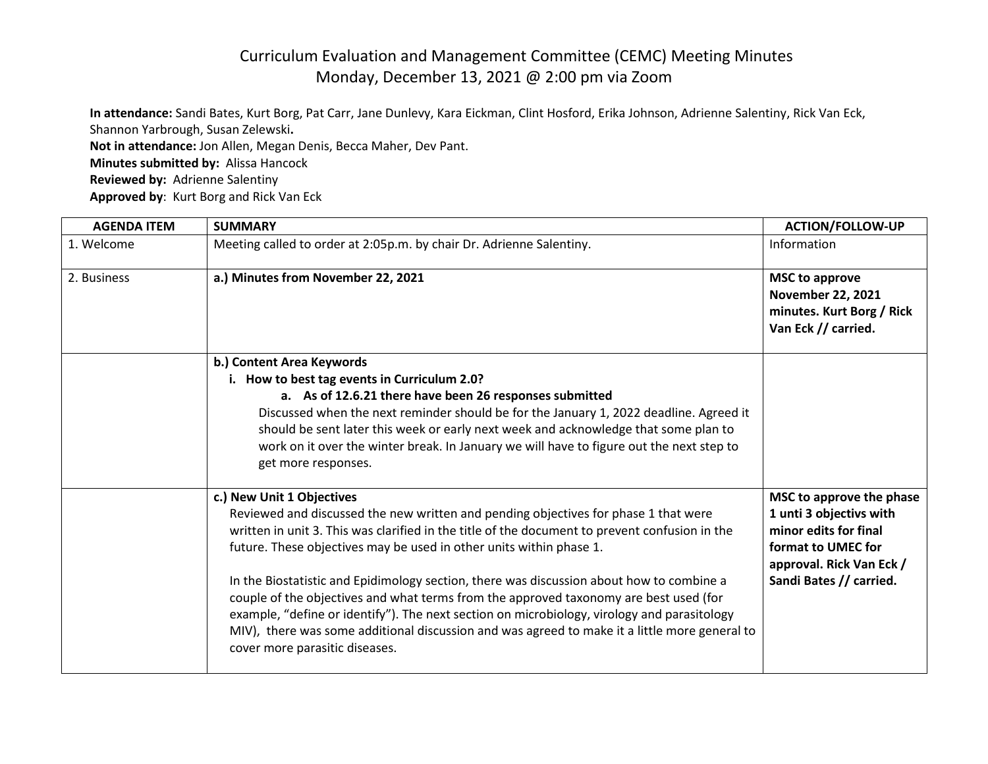## Curriculum Evaluation and Management Committee (CEMC) Meeting Minutes Monday, December 13, 2021 @ 2:00 pm via Zoom

**In attendance:** Sandi Bates, Kurt Borg, Pat Carr, Jane Dunlevy, Kara Eickman, Clint Hosford, Erika Johnson, Adrienne Salentiny, Rick Van Eck, Shannon Yarbrough, Susan Zelewski**. Not in attendance:** Jon Allen, Megan Denis, Becca Maher, Dev Pant. **Minutes submitted by:** Alissa Hancock **Reviewed by:** Adrienne Salentiny

**Approved by**: Kurt Borg and Rick Van Eck

| <b>AGENDA ITEM</b> | <b>SUMMARY</b>                                                                                                                                                                                                                                                                                                                                                                                                                                                                                                                                                                                                                                                                                                   | <b>ACTION/FOLLOW-UP</b>                                                                                                                                   |
|--------------------|------------------------------------------------------------------------------------------------------------------------------------------------------------------------------------------------------------------------------------------------------------------------------------------------------------------------------------------------------------------------------------------------------------------------------------------------------------------------------------------------------------------------------------------------------------------------------------------------------------------------------------------------------------------------------------------------------------------|-----------------------------------------------------------------------------------------------------------------------------------------------------------|
| 1. Welcome         | Meeting called to order at 2:05p.m. by chair Dr. Adrienne Salentiny.                                                                                                                                                                                                                                                                                                                                                                                                                                                                                                                                                                                                                                             | Information                                                                                                                                               |
| 2. Business        | a.) Minutes from November 22, 2021                                                                                                                                                                                                                                                                                                                                                                                                                                                                                                                                                                                                                                                                               | <b>MSC to approve</b><br><b>November 22, 2021</b><br>minutes. Kurt Borg / Rick<br>Van Eck // carried.                                                     |
|                    | b.) Content Area Keywords<br>i. How to best tag events in Curriculum 2.0?<br>a. As of 12.6.21 there have been 26 responses submitted<br>Discussed when the next reminder should be for the January 1, 2022 deadline. Agreed it<br>should be sent later this week or early next week and acknowledge that some plan to<br>work on it over the winter break. In January we will have to figure out the next step to<br>get more responses.                                                                                                                                                                                                                                                                         |                                                                                                                                                           |
|                    | c.) New Unit 1 Objectives<br>Reviewed and discussed the new written and pending objectives for phase 1 that were<br>written in unit 3. This was clarified in the title of the document to prevent confusion in the<br>future. These objectives may be used in other units within phase 1.<br>In the Biostatistic and Epidimology section, there was discussion about how to combine a<br>couple of the objectives and what terms from the approved taxonomy are best used (for<br>example, "define or identify"). The next section on microbiology, virology and parasitology<br>MIV), there was some additional discussion and was agreed to make it a little more general to<br>cover more parasitic diseases. | MSC to approve the phase<br>1 unti 3 objectivs with<br>minor edits for final<br>format to UMEC for<br>approval. Rick Van Eck /<br>Sandi Bates // carried. |